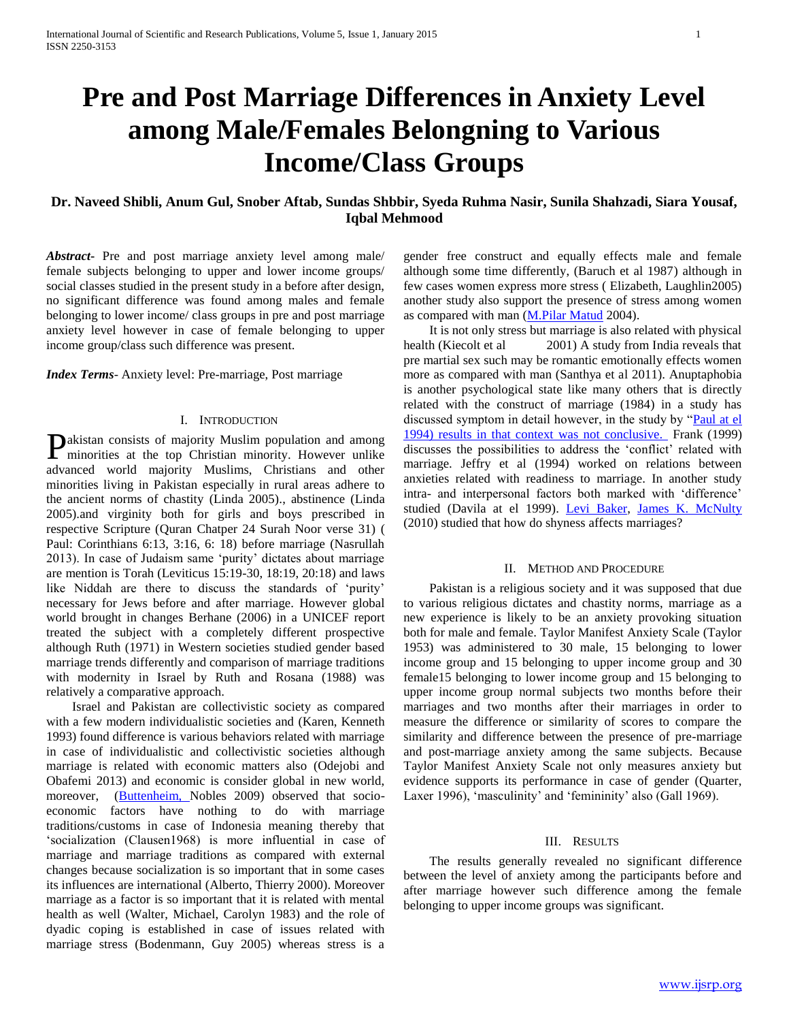# **Pre and Post Marriage Differences in Anxiety Level among Male/Females Belongning to Various Income/Class Groups**

# **Dr. Naveed Shibli, Anum Gul, Snober Aftab, Sundas Shbbir, Syeda Ruhma Nasir, Sunila Shahzadi, Siara Yousaf, Iqbal Mehmood**

*Abstract***-** Pre and post marriage anxiety level among male/ female subjects belonging to upper and lower income groups/ social classes studied in the present study in a before after design, no significant difference was found among males and female belonging to lower income/ class groups in pre and post marriage anxiety level however in case of female belonging to upper income group/class such difference was present.

*Index Terms*- Anxiety level: Pre-marriage, Post marriage

# I. INTRODUCTION

akistan consists of majority Muslim population and among **Pakistan consists of majority Muslim population and among minorities at the top Christian minority. However unlike** advanced world majority Muslims, Christians and other minorities living in Pakistan especially in rural areas adhere to the ancient norms of chastity (Linda 2005)., abstinence (Linda 2005).and virginity both for girls and boys prescribed in respective Scripture (Quran Chatper 24 Surah Noor verse 31) ( Paul: Corinthians 6:13, 3:16, 6: 18) before marriage (Nasrullah 2013). In case of Judaism same "purity" dictates about marriage are mention is Torah (Leviticus 15:19-30, 18:19, 20:18) and laws like Niddah are there to discuss the standards of 'purity' necessary for Jews before and after marriage. However global world brought in changes Berhane (2006) in a UNICEF report treated the subject with a completely different prospective although Ruth (1971) in Western societies studied gender based marriage trends differently and comparison of marriage traditions with modernity in Israel by Ruth and Rosana (1988) was relatively a comparative approach.

 Israel and Pakistan are collectivistic society as compared with a few modern individualistic societies and (Karen, Kenneth 1993) found difference is various behaviors related with marriage in case of individualistic and collectivistic societies although marriage is related with economic matters also (Odejobi and Obafemi 2013) and economic is consider global in new world, moreover, [\(Buttenheim, N](http://www.ncbi.nlm.nih.gov/pubmed?term=Buttenheim%20AM%5BAuthor%5D&cauthor=true&cauthor_uid=19851937)obles 2009) observed that socioeconomic factors have nothing to do with marriage traditions/customs in case of Indonesia meaning thereby that "socialization (Clausen1968) is more influential in case of marriage and marriage traditions as compared with external changes because socialization is so important that in some cases its influences are international (Alberto, Thierry 2000). Moreover marriage as a factor is so important that it is related with mental health as well (Walter, Michael, Carolyn 1983) and the role of dyadic coping is established in case of issues related with marriage stress (Bodenmann, Guy 2005) whereas stress is a

gender free construct and equally effects male and female although some time differently, (Baruch et al 1987) although in few cases women express more stress ( Elizabeth, Laughlin2005) another study also support the presence of stress among women as compared with man [\(M.Pilar Matud](http://www.sciencedirect.com/science/article/pii/S0191886904000200) 2004).

 It is not only stress but marriage is also related with physical health (Kiecolt et al 2001) A study from India reveals that pre martial sex such may be romantic emotionally effects women more as compared with man (Santhya et al 2011). Anuptaphobia is another psychological state like many others that is directly related with the construct of marriage (1984) in a study has discussed symptom in detail however, in the study by "Paul at el [1994\) results in that context was not conclusive.](http://www.sciencedirect.com/science/article/pii/S0005789405801558) Frank (1999) discusses the possibilities to address the "conflict" related with marriage. Jeffry et al (1994) worked on relations between anxieties related with readiness to marriage. In another study intra- and interpersonal factors both marked with 'difference' studied (Davila at el 1999). [Levi Baker,](http://psp.sagepub.com/search?author1=Levi+Baker&sortspec=date&submit=Submit) [James K. McNulty](http://psp.sagepub.com/search?author1=James+K.+McNulty&sortspec=date&submit=Submit) (2010) studied that how do shyness affects marriages?

## II. METHOD AND PROCEDURE

 Pakistan is a religious society and it was supposed that due to various religious dictates and chastity norms, marriage as a new experience is likely to be an anxiety provoking situation both for male and female. Taylor Manifest Anxiety Scale (Taylor 1953) was administered to 30 male, 15 belonging to lower income group and 15 belonging to upper income group and 30 female15 belonging to lower income group and 15 belonging to upper income group normal subjects two months before their marriages and two months after their marriages in order to measure the difference or similarity of scores to compare the similarity and difference between the presence of pre-marriage and post-marriage anxiety among the same subjects. Because Taylor Manifest Anxiety Scale not only measures anxiety but evidence supports its performance in case of gender (Quarter, Laxer 1996), 'masculinity' and 'femininity' also (Gall 1969).

## III. RESULTS

 The results generally revealed no significant difference between the level of anxiety among the participants before and after marriage however such difference among the female belonging to upper income groups was significant.